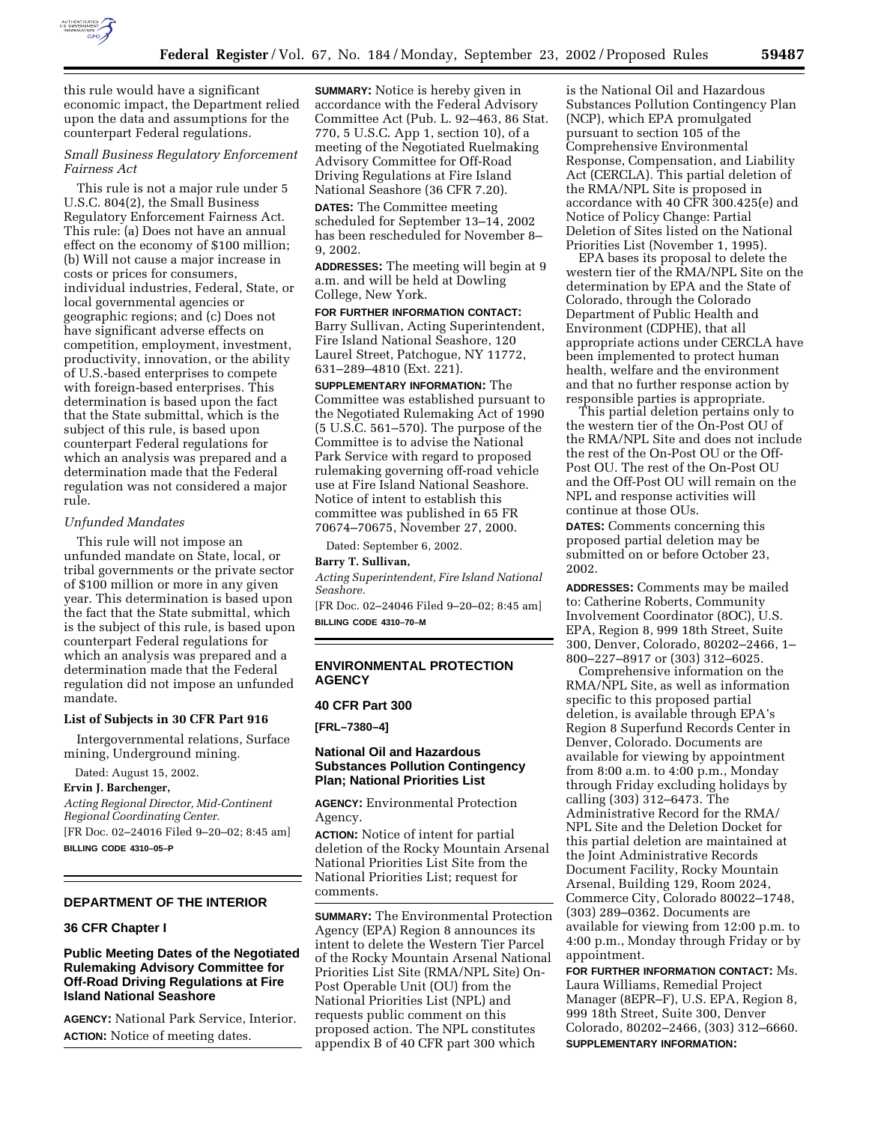

this rule would have a significant economic impact, the Department relied upon the data and assumptions for the counterpart Federal regulations.

# *Small Business Regulatory Enforcement Fairness Act*

This rule is not a major rule under 5 U.S.C. 804(2), the Small Business Regulatory Enforcement Fairness Act. This rule: (a) Does not have an annual effect on the economy of \$100 million; (b) Will not cause a major increase in costs or prices for consumers, individual industries, Federal, State, or local governmental agencies or geographic regions; and (c) Does not have significant adverse effects on competition, employment, investment, productivity, innovation, or the ability of U.S.-based enterprises to compete with foreign-based enterprises. This determination is based upon the fact that the State submittal, which is the subject of this rule, is based upon counterpart Federal regulations for which an analysis was prepared and a determination made that the Federal regulation was not considered a major rule.

### *Unfunded Mandates*

This rule will not impose an unfunded mandate on State, local, or tribal governments or the private sector of \$100 million or more in any given year. This determination is based upon the fact that the State submittal, which is the subject of this rule, is based upon counterpart Federal regulations for which an analysis was prepared and a determination made that the Federal regulation did not impose an unfunded mandate.

#### **List of Subjects in 30 CFR Part 916**

Intergovernmental relations, Surface mining, Underground mining.

Dated: August 15, 2002.

**Ervin J. Barchenger,** 

*Acting Regional Director, Mid-Continent Regional Coordinating Center.* [FR Doc. 02–24016 Filed 9–20–02; 8:45 am]

**BILLING CODE 4310–05–P**

# **DEPARTMENT OF THE INTERIOR**

#### **36 CFR Chapter I**

# **Public Meeting Dates of the Negotiated Rulemaking Advisory Committee for Off-Road Driving Regulations at Fire Island National Seashore**

**AGENCY:** National Park Service, Interior. **ACTION:** Notice of meeting dates.

**SUMMARY:** Notice is hereby given in accordance with the Federal Advisory Committee Act (Pub. L. 92–463, 86 Stat. 770, 5 U.S.C. App 1, section 10), of a meeting of the Negotiated Ruelmaking Advisory Committee for Off-Road Driving Regulations at Fire Island National Seashore (36 CFR 7.20).

**DATES:** The Committee meeting scheduled for September 13–14, 2002 has been rescheduled for November 8– 9, 2002.

**ADDRESSES:** The meeting will begin at 9 a.m. and will be held at Dowling College, New York.

# **FOR FURTHER INFORMATION CONTACT:**

Barry Sullivan, Acting Superintendent, Fire Island National Seashore, 120 Laurel Street, Patchogue, NY 11772, 631–289–4810 (Ext. 221).

**SUPPLEMENTARY INFORMATION:** The Committee was established pursuant to the Negotiated Rulemaking Act of 1990 (5 U.S.C. 561–570). The purpose of the Committee is to advise the National Park Service with regard to proposed rulemaking governing off-road vehicle use at Fire Island National Seashore. Notice of intent to establish this committee was published in 65 FR 70674–70675, November 27, 2000.

Dated: September 6, 2002.

## **Barry T. Sullivan,**

*Acting Superintendent, Fire Island National Seashore.*

[FR Doc. 02–24046 Filed 9–20–02; 8:45 am] **BILLING CODE 4310–70–M**

## **ENVIRONMENTAL PROTECTION AGENCY**

## **40 CFR Part 300**

**[FRL–7380–4]** 

## **National Oil and Hazardous Substances Pollution Contingency Plan; National Priorities List**

**AGENCY:** Environmental Protection Agency.

**ACTION:** Notice of intent for partial deletion of the Rocky Mountain Arsenal National Priorities List Site from the National Priorities List; request for comments.

**SUMMARY:** The Environmental Protection Agency (EPA) Region 8 announces its intent to delete the Western Tier Parcel of the Rocky Mountain Arsenal National Priorities List Site (RMA/NPL Site) On-Post Operable Unit (OU) from the National Priorities List (NPL) and requests public comment on this proposed action. The NPL constitutes appendix B of 40 CFR part 300 which

is the National Oil and Hazardous Substances Pollution Contingency Plan (NCP), which EPA promulgated pursuant to section 105 of the Comprehensive Environmental Response, Compensation, and Liability Act (CERCLA). This partial deletion of the RMA/NPL Site is proposed in accordance with 40 CFR 300.425(e) and Notice of Policy Change: Partial Deletion of Sites listed on the National Priorities List (November 1, 1995).

EPA bases its proposal to delete the western tier of the RMA/NPL Site on the determination by EPA and the State of Colorado, through the Colorado Department of Public Health and Environment (CDPHE), that all appropriate actions under CERCLA have been implemented to protect human health, welfare and the environment and that no further response action by responsible parties is appropriate.

This partial deletion pertains only to the western tier of the On-Post OU of the RMA/NPL Site and does not include the rest of the On-Post OU or the Off-Post OU. The rest of the On-Post OU and the Off-Post OU will remain on the NPL and response activities will continue at those OUs.

**DATES:** Comments concerning this proposed partial deletion may be submitted on or before October 23, 2002.

**ADDRESSES:** Comments may be mailed to: Catherine Roberts, Community Involvement Coordinator (8OC), U.S. EPA, Region 8, 999 18th Street, Suite 300, Denver, Colorado, 80202–2466, 1– 800–227–8917 or (303) 312–6025.

Comprehensive information on the RMA/NPL Site, as well as information specific to this proposed partial deletion, is available through EPA's Region 8 Superfund Records Center in Denver, Colorado. Documents are available for viewing by appointment from 8:00 a.m. to 4:00 p.m., Monday through Friday excluding holidays by calling (303) 312–6473. The Administrative Record for the RMA/ NPL Site and the Deletion Docket for this partial deletion are maintained at the Joint Administrative Records Document Facility, Rocky Mountain Arsenal, Building 129, Room 2024, Commerce City, Colorado 80022–1748, (303) 289–0362. Documents are available for viewing from 12:00 p.m. to 4:00 p.m., Monday through Friday or by appointment.

**FOR FURTHER INFORMATION CONTACT:** Ms. Laura Williams, Remedial Project Manager (8EPR–F), U.S. EPA, Region 8, 999 18th Street, Suite 300, Denver Colorado, 80202–2466, (303) 312–6660. **SUPPLEMENTARY INFORMATION:**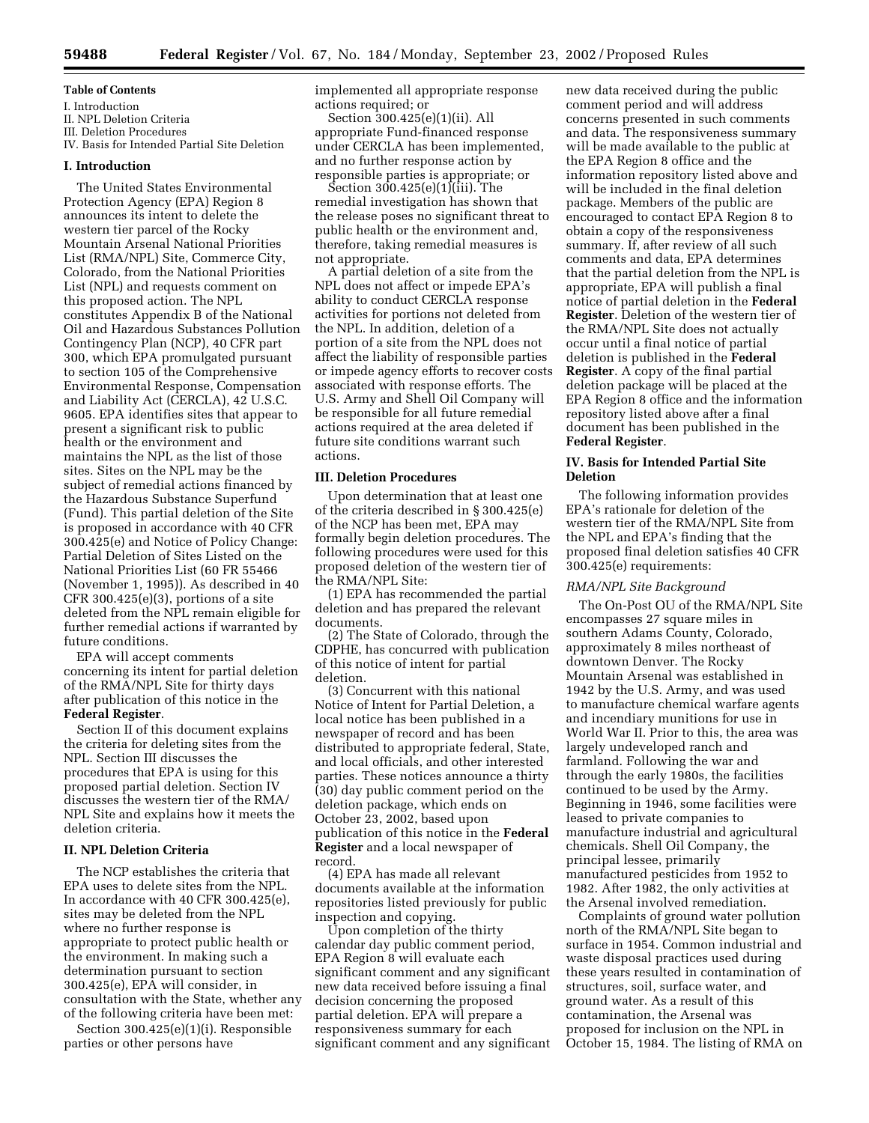#### **Table of Contents**

I. Introduction II. NPL Deletion Criteria III. Deletion Procedures IV. Basis for Intended Partial Site Deletion

## **I. Introduction**

The United States Environmental Protection Agency (EPA) Region 8 announces its intent to delete the western tier parcel of the Rocky Mountain Arsenal National Priorities List (RMA/NPL) Site, Commerce City, Colorado, from the National Priorities List (NPL) and requests comment on this proposed action. The NPL constitutes Appendix B of the National Oil and Hazardous Substances Pollution Contingency Plan (NCP), 40 CFR part 300, which EPA promulgated pursuant to section 105 of the Comprehensive Environmental Response, Compensation and Liability Act (CERCLA), 42 U.S.C. 9605. EPA identifies sites that appear to present a significant risk to public health or the environment and maintains the NPL as the list of those sites. Sites on the NPL may be the subject of remedial actions financed by the Hazardous Substance Superfund (Fund). This partial deletion of the Site is proposed in accordance with 40 CFR 300.425(e) and Notice of Policy Change: Partial Deletion of Sites Listed on the National Priorities List (60 FR 55466 (November 1, 1995)). As described in 40  $CFR 300.425(e)(3)$ , portions of a site deleted from the NPL remain eligible for further remedial actions if warranted by future conditions.

EPA will accept comments concerning its intent for partial deletion of the RMA/NPL Site for thirty days after publication of this notice in the **Federal Register**.

Section II of this document explains the criteria for deleting sites from the NPL. Section III discusses the procedures that EPA is using for this proposed partial deletion. Section IV discusses the western tier of the RMA/ NPL Site and explains how it meets the deletion criteria.

# **II. NPL Deletion Criteria**

The NCP establishes the criteria that EPA uses to delete sites from the NPL. In accordance with 40 CFR 300.425(e), sites may be deleted from the NPL where no further response is appropriate to protect public health or the environment. In making such a determination pursuant to section 300.425(e), EPA will consider, in consultation with the State, whether any of the following criteria have been met:

Section 300.425(e)(1)(i). Responsible parties or other persons have

implemented all appropriate response actions required; or

Section 300.425(e)(1)(ii). All appropriate Fund-financed response under CERCLA has been implemented, and no further response action by responsible parties is appropriate; or

Section 300.425(e)(1)(iii). The remedial investigation has shown that the release poses no significant threat to public health or the environment and, therefore, taking remedial measures is not appropriate.

A partial deletion of a site from the NPL does not affect or impede EPA's ability to conduct CERCLA response activities for portions not deleted from the NPL. In addition, deletion of a portion of a site from the NPL does not affect the liability of responsible parties or impede agency efforts to recover costs associated with response efforts. The U.S. Army and Shell Oil Company will be responsible for all future remedial actions required at the area deleted if future site conditions warrant such actions.

#### **III. Deletion Procedures**

Upon determination that at least one of the criteria described in § 300.425(e) of the NCP has been met, EPA may formally begin deletion procedures. The following procedures were used for this proposed deletion of the western tier of the RMA/NPL Site:

(1) EPA has recommended the partial deletion and has prepared the relevant documents.

(2) The State of Colorado, through the CDPHE, has concurred with publication of this notice of intent for partial deletion.

(3) Concurrent with this national Notice of Intent for Partial Deletion, a local notice has been published in a newspaper of record and has been distributed to appropriate federal, State, and local officials, and other interested parties. These notices announce a thirty (30) day public comment period on the deletion package, which ends on October 23, 2002, based upon publication of this notice in the **Federal Register** and a local newspaper of record.

(4) EPA has made all relevant documents available at the information repositories listed previously for public inspection and copying.

Upon completion of the thirty calendar day public comment period, EPA Region 8 will evaluate each significant comment and any significant new data received before issuing a final decision concerning the proposed partial deletion. EPA will prepare a responsiveness summary for each significant comment and any significant

new data received during the public comment period and will address concerns presented in such comments and data. The responsiveness summary will be made available to the public at the EPA Region 8 office and the information repository listed above and will be included in the final deletion package. Members of the public are encouraged to contact EPA Region 8 to obtain a copy of the responsiveness summary. If, after review of all such comments and data, EPA determines that the partial deletion from the NPL is appropriate, EPA will publish a final notice of partial deletion in the **Federal Register**. Deletion of the western tier of the RMA/NPL Site does not actually occur until a final notice of partial deletion is published in the **Federal Register**. A copy of the final partial deletion package will be placed at the EPA Region 8 office and the information repository listed above after a final document has been published in the **Federal Register**.

#### **IV. Basis for Intended Partial Site Deletion**

The following information provides EPA's rationale for deletion of the western tier of the RMA/NPL Site from the NPL and EPA's finding that the proposed final deletion satisfies 40 CFR 300.425(e) requirements:

#### *RMA/NPL Site Background*

The On-Post OU of the RMA/NPL Site encompasses 27 square miles in southern Adams County, Colorado, approximately 8 miles northeast of downtown Denver. The Rocky Mountain Arsenal was established in 1942 by the U.S. Army, and was used to manufacture chemical warfare agents and incendiary munitions for use in World War II. Prior to this, the area was largely undeveloped ranch and farmland. Following the war and through the early 1980s, the facilities continued to be used by the Army. Beginning in 1946, some facilities were leased to private companies to manufacture industrial and agricultural chemicals. Shell Oil Company, the principal lessee, primarily manufactured pesticides from 1952 to 1982. After 1982, the only activities at the Arsenal involved remediation.

Complaints of ground water pollution north of the RMA/NPL Site began to surface in 1954. Common industrial and waste disposal practices used during these years resulted in contamination of structures, soil, surface water, and ground water. As a result of this contamination, the Arsenal was proposed for inclusion on the NPL in October 15, 1984. The listing of RMA on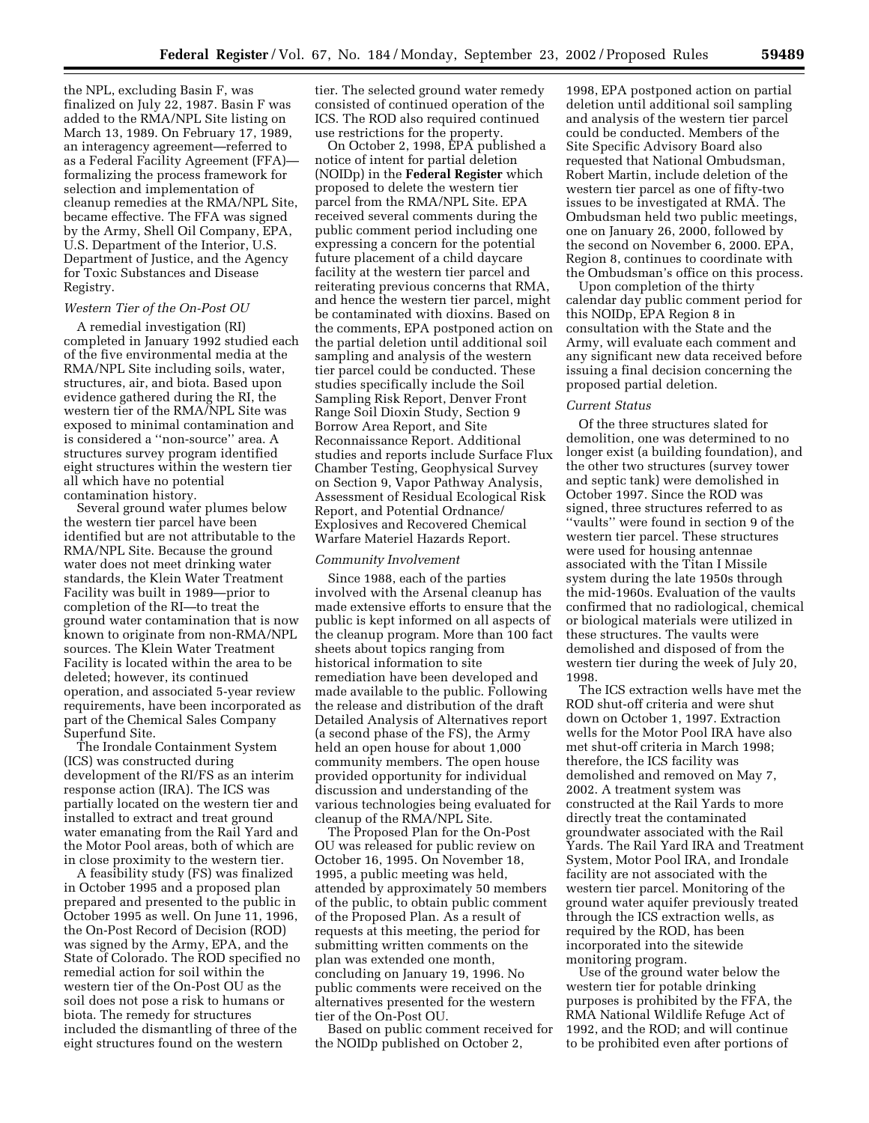the NPL, excluding Basin F, was finalized on July 22, 1987. Basin F was added to the RMA/NPL Site listing on March 13, 1989. On February 17, 1989, an interagency agreement—referred to as a Federal Facility Agreement (FFA) formalizing the process framework for selection and implementation of cleanup remedies at the RMA/NPL Site, became effective. The FFA was signed by the Army, Shell Oil Company, EPA, U.S. Department of the Interior, U.S. Department of Justice, and the Agency for Toxic Substances and Disease Registry.

### *Western Tier of the On-Post OU*

A remedial investigation (RI) completed in January 1992 studied each of the five environmental media at the RMA/NPL Site including soils, water, structures, air, and biota. Based upon evidence gathered during the RI, the western tier of the RMA/NPL Site was exposed to minimal contamination and is considered a ''non-source'' area. A structures survey program identified eight structures within the western tier all which have no potential contamination history.

Several ground water plumes below the western tier parcel have been identified but are not attributable to the RMA/NPL Site. Because the ground water does not meet drinking water standards, the Klein Water Treatment Facility was built in 1989—prior to completion of the RI—to treat the ground water contamination that is now known to originate from non-RMA/NPL sources. The Klein Water Treatment Facility is located within the area to be deleted; however, its continued operation, and associated 5-year review requirements, have been incorporated as part of the Chemical Sales Company Superfund Site.

The Irondale Containment System (ICS) was constructed during development of the RI/FS as an interim response action (IRA). The ICS was partially located on the western tier and installed to extract and treat ground water emanating from the Rail Yard and the Motor Pool areas, both of which are in close proximity to the western tier.

A feasibility study (FS) was finalized in October 1995 and a proposed plan prepared and presented to the public in October 1995 as well. On June 11, 1996, the On-Post Record of Decision (ROD) was signed by the Army, EPA, and the State of Colorado. The ROD specified no remedial action for soil within the western tier of the On-Post OU as the soil does not pose a risk to humans or biota. The remedy for structures included the dismantling of three of the eight structures found on the western

tier. The selected ground water remedy consisted of continued operation of the ICS. The ROD also required continued use restrictions for the property.

On October 2, 1998, EPA published a notice of intent for partial deletion (NOIDp) in the **Federal Register** which proposed to delete the western tier parcel from the RMA/NPL Site. EPA received several comments during the public comment period including one expressing a concern for the potential future placement of a child daycare facility at the western tier parcel and reiterating previous concerns that RMA, and hence the western tier parcel, might be contaminated with dioxins. Based on the comments, EPA postponed action on the partial deletion until additional soil sampling and analysis of the western tier parcel could be conducted. These studies specifically include the Soil Sampling Risk Report, Denver Front Range Soil Dioxin Study, Section 9 Borrow Area Report, and Site Reconnaissance Report. Additional studies and reports include Surface Flux Chamber Testing, Geophysical Survey on Section 9, Vapor Pathway Analysis, Assessment of Residual Ecological Risk Report, and Potential Ordnance/ Explosives and Recovered Chemical Warfare Materiel Hazards Report.

#### *Community Involvement*

Since 1988, each of the parties involved with the Arsenal cleanup has made extensive efforts to ensure that the public is kept informed on all aspects of the cleanup program. More than 100 fact sheets about topics ranging from historical information to site remediation have been developed and made available to the public. Following the release and distribution of the draft Detailed Analysis of Alternatives report (a second phase of the FS), the Army held an open house for about 1,000 community members. The open house provided opportunity for individual discussion and understanding of the various technologies being evaluated for cleanup of the RMA/NPL Site.

The Proposed Plan for the On-Post OU was released for public review on October 16, 1995. On November 18, 1995, a public meeting was held, attended by approximately 50 members of the public, to obtain public comment of the Proposed Plan. As a result of requests at this meeting, the period for submitting written comments on the plan was extended one month, concluding on January 19, 1996. No public comments were received on the alternatives presented for the western tier of the On-Post OU.

Based on public comment received for the NOIDp published on October 2,

1998, EPA postponed action on partial deletion until additional soil sampling and analysis of the western tier parcel could be conducted. Members of the Site Specific Advisory Board also requested that National Ombudsman, Robert Martin, include deletion of the western tier parcel as one of fifty-two issues to be investigated at RMA. The Ombudsman held two public meetings, one on January 26, 2000, followed by the second on November 6, 2000. EPA, Region 8, continues to coordinate with the Ombudsman's office on this process.

Upon completion of the thirty calendar day public comment period for this NOIDp, EPA Region 8 in consultation with the State and the Army, will evaluate each comment and any significant new data received before issuing a final decision concerning the proposed partial deletion.

#### *Current Status*

Of the three structures slated for demolition, one was determined to no longer exist (a building foundation), and the other two structures (survey tower and septic tank) were demolished in October 1997. Since the ROD was signed, three structures referred to as ''vaults'' were found in section 9 of the western tier parcel. These structures were used for housing antennae associated with the Titan I Missile system during the late 1950s through the mid-1960s. Evaluation of the vaults confirmed that no radiological, chemical or biological materials were utilized in these structures. The vaults were demolished and disposed of from the western tier during the week of July 20, 1998.

The ICS extraction wells have met the ROD shut-off criteria and were shut down on October 1, 1997. Extraction wells for the Motor Pool IRA have also met shut-off criteria in March 1998; therefore, the ICS facility was demolished and removed on May 7, 2002. A treatment system was constructed at the Rail Yards to more directly treat the contaminated groundwater associated with the Rail Yards. The Rail Yard IRA and Treatment System, Motor Pool IRA, and Irondale facility are not associated with the western tier parcel. Monitoring of the ground water aquifer previously treated through the ICS extraction wells, as required by the ROD, has been incorporated into the sitewide monitoring program.

Use of the ground water below the western tier for potable drinking purposes is prohibited by the FFA, the RMA National Wildlife Refuge Act of 1992, and the ROD; and will continue to be prohibited even after portions of